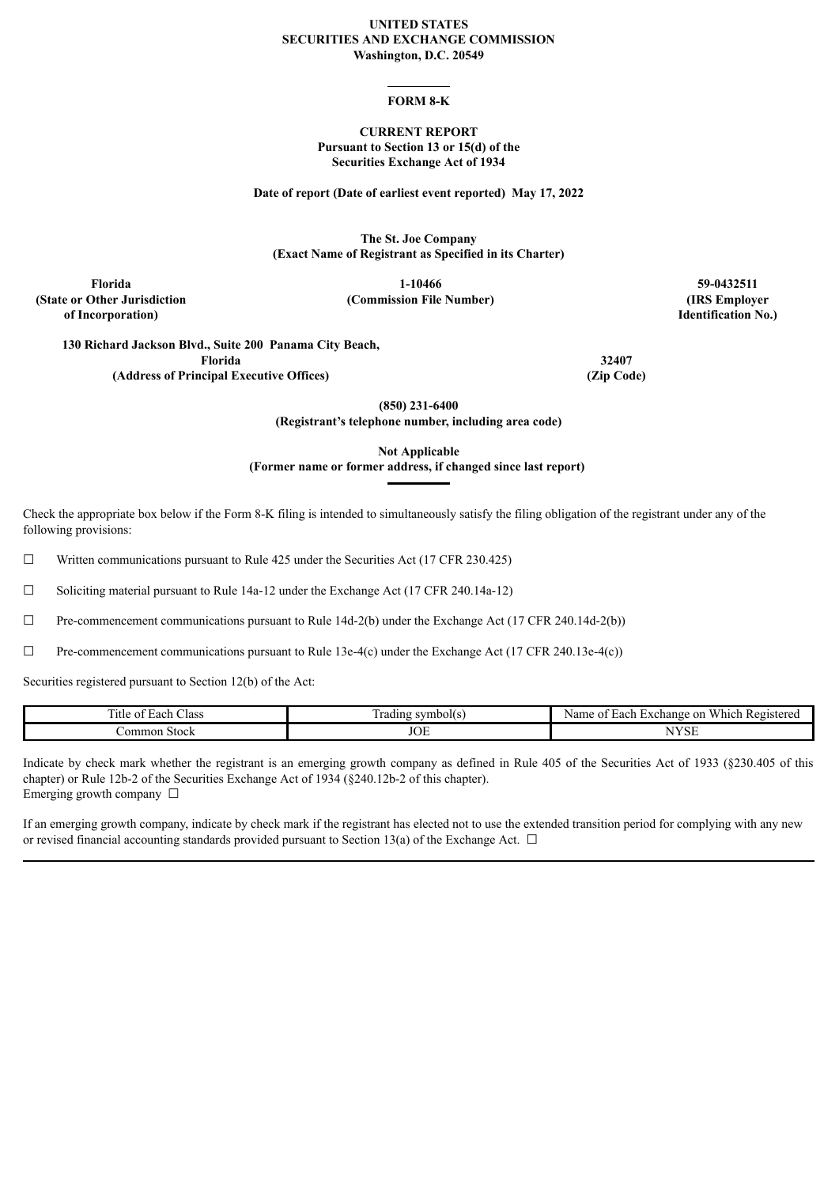### **UNITED STATES SECURITIES AND EXCHANGE COMMISSION Washington, D.C. 20549**

#### **FORM 8-K**

# **CURRENT REPORT Pursuant to Section 13 or 15(d) of the Securities Exchange Act of 1934**

#### **Date of report (Date of earliest event reported) May 17, 2022**

**The St. Joe Company (Exact Name of Registrant as Specified in its Charter)**

**(State or Other Jurisdiction of Incorporation)**

**Florida 1-10466 59-0432511 (Commission File Number) (IRS Employer**

**Identification No.)**

**130 Richard Jackson Blvd., Suite 200 Panama City Beach, Florida 32407 (Address of Principal Executive Offices) (Zip Code)**

**(850) 231-6400**

**(Registrant's telephone number, including area code)**

**Not Applicable**

**(Former name or former address, if changed since last report)**

Check the appropriate box below if the Form 8-K filing is intended to simultaneously satisfy the filing obligation of the registrant under any of the following provisions:

 $\Box$  Written communications pursuant to Rule 425 under the Securities Act (17 CFR 230.425)

☐ Soliciting material pursuant to Rule 14a-12 under the Exchange Act (17 CFR 240.14a-12)

 $\Box$  Pre-commencement communications pursuant to Rule 14d-2(b) under the Exchange Act (17 CFR 240.14d-2(b))

 $\Box$  Pre-commencement communications pursuant to Rule 13e-4(c) under the Exchange Act (17 CFR 240.13e-4(c))

Securities registered pursuant to Section 12(b) of the Act:

| —<br>-<br><sup>1</sup> tle<br>Class<br>Each<br>w | $\sim$<br>frading symbol(s | $-1$<br>Which Registered<br><sub>on</sub><br>Name<br>Each<br>Exchange<br>$\degree$ 01. |
|--------------------------------------------------|----------------------------|----------------------------------------------------------------------------------------|
| .ommon<br><b>Stock</b>                           | $I\cap T$<br>'UL           | TT.<br>ı.<br>ЮĽ                                                                        |

Indicate by check mark whether the registrant is an emerging growth company as defined in Rule 405 of the Securities Act of 1933 (§230.405 of this chapter) or Rule 12b-2 of the Securities Exchange Act of 1934 (§240.12b-2 of this chapter). Emerging growth company  $\Box$ 

If an emerging growth company, indicate by check mark if the registrant has elected not to use the extended transition period for complying with any new or revised financial accounting standards provided pursuant to Section 13(a) of the Exchange Act.  $\Box$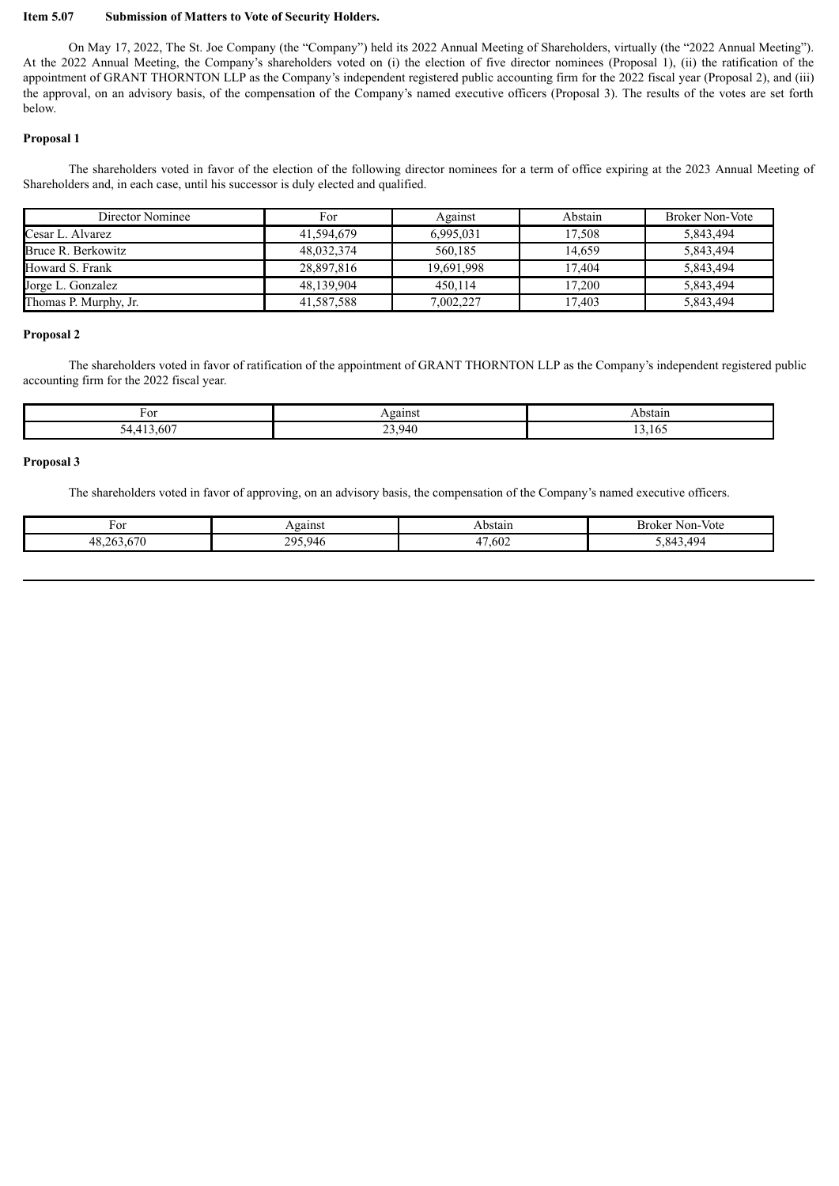# **Item 5.07 Submission of Matters to Vote of Security Holders.**

On May 17, 2022, The St. Joe Company (the "Company") held its 2022 Annual Meeting of Shareholders, virtually (the "2022 Annual Meeting"). At the 2022 Annual Meeting, the Company's shareholders voted on (i) the election of five director nominees (Proposal 1), (ii) the ratification of the appointment of GRANT THORNTON LLP as the Company's independent registered public accounting firm for the 2022 fiscal year (Proposal 2), and (iii) the approval, on an advisory basis, of the compensation of the Company's named executive officers (Proposal 3). The results of the votes are set forth below.

### **Proposal 1**

The shareholders voted in favor of the election of the following director nominees for a term of office expiring at the 2023 Annual Meeting of Shareholders and, in each case, until his successor is duly elected and qualified.

| Director Nominee      | For        | Against    | Abstain | <b>Broker Non-Vote</b> |
|-----------------------|------------|------------|---------|------------------------|
| Cesar L. Alvarez      | 41,594,679 | 6,995,031  | 17,508  | 5,843,494              |
| Bruce R. Berkowitz    | 48,032,374 | 560.185    | 14,659  | 5,843,494              |
| Howard S. Frank       | 28,897,816 | 19,691,998 | 17,404  | 5,843,494              |
| Jorge L. Gonzalez     | 48,139,904 | 450.114    | 17,200  | 5,843,494              |
| Thomas P. Murphy, Jr. | 41,587,588 | 7,002,227  | 17,403  | 5,843,494              |

#### **Proposal 2**

The shareholders voted in favor of ratification of the appointment of GRANT THORNTON LLP as the Company's independent registered public accounting firm for the 2022 fiscal year.

| For                              | ______<br>`gains. | Abstair      |
|----------------------------------|-------------------|--------------|
| ,607<br>$\overline{\phantom{a}}$ | 23,940            | - -<br>. 165 |

#### **Proposal 3**

The shareholders voted in favor of approving, on an advisory basis, the compensation of the Company's named executive officers.

| $\sim$               | 0.91nc                          | Abstar                           | - Broker                       |
|----------------------|---------------------------------|----------------------------------|--------------------------------|
| vı                   | -ашь.                           |                                  | Non-Vote                       |
| $\sim$ $\sim$<br>. . | 205<br>$\overline{\phantom{0}}$ | .602<br>$\overline{\phantom{a}}$ | 494<br>$\sim$<br>$\sim$<br>. . |